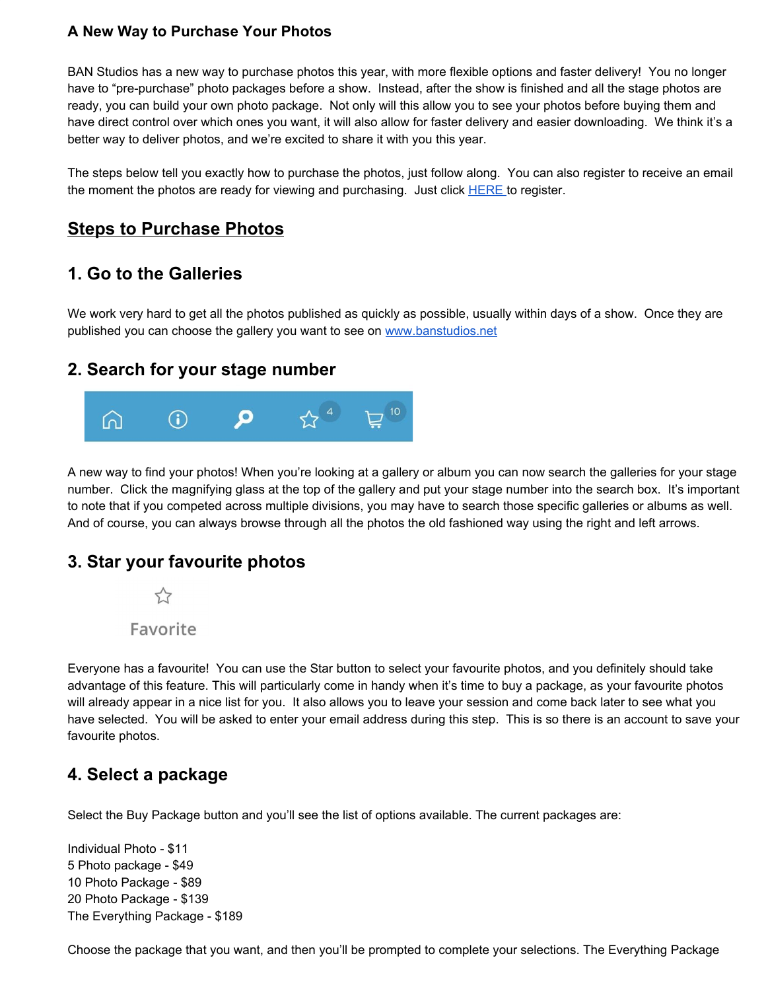#### **A New Way to Purchase Your Photos**

BAN Studios has a new way to purchase photos this year, with more flexible options and faster delivery! You no longer have to "pre-purchase" photo packages before a show. Instead, after the show is finished and all the stage photos are ready, you can build your own photo package. Not only will this allow you to see your photos before buying them and have direct control over which ones you want, it will also allow for faster delivery and easier downloading. We think it's a better way to deliver photos, and we're excited to share it with you this year.

The steps below tell you exactly how to purchase the photos, just follow along. You can also register to receive an email the moment the photos are ready for viewing and purchasing. Just click [HERE](https://nolanwhitephotography.shootproof.com/gallery/melbournechampionships2020/) to register.

### **Steps to Purchase Photos**

# **1. Go to the Galleries**

We work very hard to get all the photos published as quickly as possible, usually within days of a show. Once they are published you can choose the gallery you want to see on [www.banstudios.net](http://www.banstudios.net/)

#### **2. Search for your stage number**



A new way to find your photos! When you're looking at a gallery or album you can now search the galleries for your stage number. Click the magnifying glass at the top of the gallery and put your stage number into the search box. It's important to note that if you competed across multiple divisions, you may have to search those specific galleries or albums as well. And of course, you can always browse through all the photos the old fashioned way using the right and left arrows.

#### **3. Star your favourite photos**



Everyone has a favourite! You can use the Star button to select your favourite photos, and you definitely should take advantage of this feature. This will particularly come in handy when it's time to buy a package, as your favourite photos will already appear in a nice list for you. It also allows you to leave your session and come back later to see what you have selected. You will be asked to enter your email address during this step. This is so there is an account to save your favourite photos.

#### **4. Select a package**

Select the Buy Package button and you'll see the list of options available. The current packages are:

Individual Photo - \$11 5 Photo package - \$49 10 Photo Package - \$89 20 Photo Package - \$139 The Everything Package - \$189

Choose the package that you want, and then you'll be prompted to complete your selections. The Everything Package